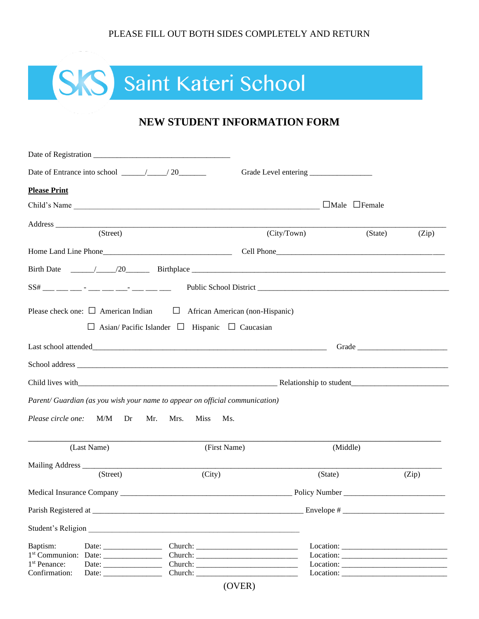#### PLEASE FILL OUT BOTH SIDES COMPLETELY AND RETURN

# SS Saint Kateri School

## **NEW STUDENT INFORMATION FORM**

| <b>Please Print</b>                                                                                                                                                                                                            |              |                           |       |  |  |
|--------------------------------------------------------------------------------------------------------------------------------------------------------------------------------------------------------------------------------|--------------|---------------------------|-------|--|--|
| Child's Name                                                                                                                                                                                                                   |              | $\Box$ Male $\Box$ Female |       |  |  |
| (Street)                                                                                                                                                                                                                       |              |                           |       |  |  |
|                                                                                                                                                                                                                                | (City/Town)  | (State)                   | (Zip) |  |  |
|                                                                                                                                                                                                                                |              |                           |       |  |  |
|                                                                                                                                                                                                                                |              |                           |       |  |  |
|                                                                                                                                                                                                                                |              |                           |       |  |  |
| Please check one: $\Box$ American Indian $\Box$ African American (non-Hispanic)                                                                                                                                                |              |                           |       |  |  |
| $\Box$ Asian/Pacific Islander $\Box$ Hispanic $\Box$ Caucasian                                                                                                                                                                 |              |                           |       |  |  |
|                                                                                                                                                                                                                                |              |                           |       |  |  |
|                                                                                                                                                                                                                                |              |                           |       |  |  |
| School address and the state of the state of the state of the state of the state of the state of the state of the state of the state of the state of the state of the state of the state of the state of the state of the stat |              |                           |       |  |  |
|                                                                                                                                                                                                                                |              |                           |       |  |  |
| Parent/ Guardian (as you wish your name to appear on official communication)                                                                                                                                                   |              |                           |       |  |  |
| $M/M$ Dr<br>Please circle one:<br>Mr. Mrs.<br><b>Miss</b>                                                                                                                                                                      | Ms.          |                           |       |  |  |
| (Last Name)                                                                                                                                                                                                                    | (First Name) | (Middle)                  |       |  |  |
| Mailing Address ____                                                                                                                                                                                                           |              |                           |       |  |  |
| (Street)                                                                                                                                                                                                                       | (City)       | (State)                   | (Zip) |  |  |
|                                                                                                                                                                                                                                |              |                           |       |  |  |
|                                                                                                                                                                                                                                |              | Envelope # $\_$           |       |  |  |
| Student's Religion                                                                                                                                                                                                             |              |                           |       |  |  |
| Baptism:                                                                                                                                                                                                                       |              |                           |       |  |  |
|                                                                                                                                                                                                                                |              |                           |       |  |  |
| 1 <sup>st</sup> Penance:<br>Confirmation:                                                                                                                                                                                      |              |                           |       |  |  |
|                                                                                                                                                                                                                                | (OVER)       |                           |       |  |  |
|                                                                                                                                                                                                                                |              |                           |       |  |  |